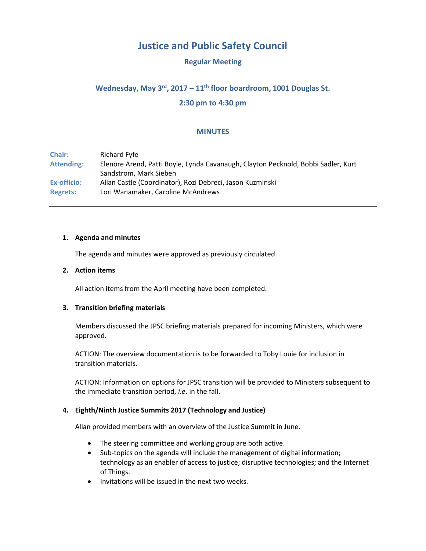# **Justice and Public Safety Council**

# **Regular Meeting**

# Wednesday, May 3<sup>rd</sup>, 2017 – 11<sup>th</sup> floor boardroom, 1001 Douglas St.

# **2:30 pm to 4:30 pm**

# **MINUTES**

**Chair:** Richard Fyfe **Attending:** Elenore Arend, Patti Boyle, Lynda Cavanaugh, Clayton Pecknold, Bobbi Sadler, Kurt Sandstrom, Mark Sieben **Ex-officio:** Allan Castle (Coordinator), Rozi Debreci, Jason Kuzminski **Regrets:** Lori Wanamaker, Caroline McAndrews

#### **1. Agenda and minutes**

The agenda and minutes were approved as previously circulated.

#### **2. Action items**

All action items from the April meeting have been completed.

#### **3. Transition briefing materials**

Members discussed the JPSC briefing materials prepared for incoming Ministers, which were approved.

ACTION: The overview documentation is to be forwarded to Toby Louie for inclusion in transition materials.

ACTION: Information on options for JPSC transition will be provided to Ministers subsequent to the immediate transition period, *i.e*. in the fall.

#### **4. Eighth/Ninth Justice Summits 2017 (Technology and Justice)**

Allan provided members with an overview of the Justice Summit in June.

- The steering committee and working group are both active.
- Sub-topics on the agenda will include the management of digital information; technology as an enabler of access to justice; disruptive technologies; and the Internet of Things.
- Invitations will be issued in the next two weeks.